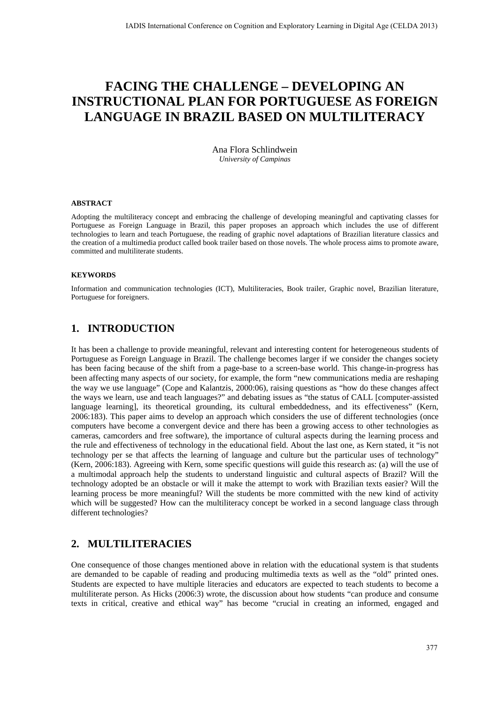# **FACING THE CHALLENGE – DEVELOPING AN INSTRUCTIONAL PLAN FOR PORTUGUESE AS FOREIGN LANGUAGE IN BRAZIL BASED ON MULTILITERACY**

Ana Flora Schlindwein *University of Campinas* 

#### **ABSTRACT**

Adopting the multiliteracy concept and embracing the challenge of developing meaningful and captivating classes for Portuguese as Foreign Language in Brazil, this paper proposes an approach which includes the use of different technologies to learn and teach Portuguese, the reading of graphic novel adaptations of Brazilian literature classics and the creation of a multimedia product called book trailer based on those novels. The whole process aims to promote aware, committed and multiliterate students.

#### **KEYWORDS**

Information and communication technologies (ICT), Multiliteracies, Book trailer, Graphic novel, Brazilian literature, Portuguese for foreigners.

# **1. INTRODUCTION**

It has been a challenge to provide meaningful, relevant and interesting content for heterogeneous students of Portuguese as Foreign Language in Brazil. The challenge becomes larger if we consider the changes society has been facing because of the shift from a page-base to a screen-base world. This change-in-progress has been affecting many aspects of our society, for example, the form "new communications media are reshaping the way we use language" (Cope and Kalantzis, 2000:06), raising questions as "how do these changes affect the ways we learn, use and teach languages?" and debating issues as "the status of CALL [computer-assisted language learning], its theoretical grounding, its cultural embeddedness, and its effectiveness" (Kern, 2006:183). This paper aims to develop an approach which considers the use of different technologies (once computers have become a convergent device and there has been a growing access to other technologies as cameras, camcorders and free software), the importance of cultural aspects during the learning process and the rule and effectiveness of technology in the educational field. About the last one, as Kern stated, it "is not technology per se that affects the learning of language and culture but the particular uses of technology" (Kern, 2006:183). Agreeing with Kern, some specific questions will guide this research as: (a) will the use of a multimodal approach help the students to understand linguistic and cultural aspects of Brazil? Will the technology adopted be an obstacle or will it make the attempt to work with Brazilian texts easier? Will the learning process be more meaningful? Will the students be more committed with the new kind of activity which will be suggested? How can the multiliteracy concept be worked in a second language class through different technologies?

### **2. MULTILITERACIES**

One consequence of those changes mentioned above in relation with the educational system is that students are demanded to be capable of reading and producing multimedia texts as well as the "old" printed ones. Students are expected to have multiple literacies and educators are expected to teach students to become a multiliterate person. As Hicks (2006:3) wrote, the discussion about how students "can produce and consume texts in critical, creative and ethical way" has become "crucial in creating an informed, engaged and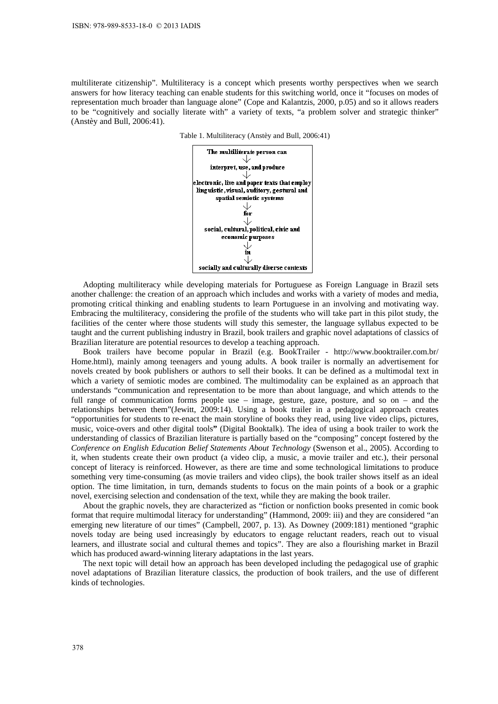multiliterate citizenship". Multiliteracy is a concept which presents worthy perspectives when we search answers for how literacy teaching can enable students for this switching world, once it "focuses on modes of representation much broader than language alone" (Cope and Kalantzis, 2000, p.05) and so it allows readers to be "cognitively and socially literate with" a variety of texts, "a problem solver and strategic thinker" (Anstèy and Bull, 2006:41).





Adopting multiliteracy while developing materials for Portuguese as Foreign Language in Brazil sets another challenge: the creation of an approach which includes and works with a variety of modes and media, promoting critical thinking and enabling students to learn Portuguese in an involving and motivating way. Embracing the multiliteracy, considering the profile of the students who will take part in this pilot study, the facilities of the center where those students will study this semester, the language syllabus expected to be taught and the current publishing industry in Brazil, book trailers and graphic novel adaptations of classics of Brazilian literature are potential resources to develop a teaching approach.

Book trailers have become popular in Brazil (e.g. BookTrailer - http://www.booktrailer.com.br/ Home.html), mainly among teenagers and young adults. A book trailer is normally an advertisement for novels created by book publishers or authors to sell their books. It can be defined as a multimodal text in which a variety of semiotic modes are combined. The multimodality can be explained as an approach that understands "communication and representation to be more than about language, and which attends to the full range of communication forms people use – image, gesture, gaze, posture, and so on – and the relationships between them"(Jewitt, 2009:14). Using a book trailer in a pedagogical approach creates "opportunities for students to re-enact the main storyline of books they read, using live video clips, pictures, music, voice-overs and other digital tools**"** (Digital Booktalk). The idea of using a book trailer to work the understanding of classics of Brazilian literature is partially based on the "composing" concept fostered by the *Conference on English Education Belief Statements About Technology* (Swenson et al., 2005). According to it, when students create their own product (a video clip, a music, a movie trailer and etc.), their personal concept of literacy is reinforced. However, as there are time and some technological limitations to produce something very time-consuming (as movie trailers and video clips), the book trailer shows itself as an ideal option. The time limitation, in turn, demands students to focus on the main points of a book or a graphic novel, exercising selection and condensation of the text, while they are making the book trailer.

About the graphic novels, they are characterized as "fiction or nonfiction books presented in comic book format that require multimodal literacy for understanding" (Hammond, 2009: iii) and they are considered "an emerging new literature of our times" (Campbell, 2007, p. 13). As Downey (2009:181) mentioned "graphic novels today are being used increasingly by educators to engage reluctant readers, reach out to visual learners, and illustrate social and cultural themes and topics". They are also a flourishing market in Brazil which has produced award-winning literary adaptations in the last years.

The next topic will detail how an approach has been developed including the pedagogical use of graphic novel adaptations of Brazilian literature classics, the production of book trailers, and the use of different kinds of technologies.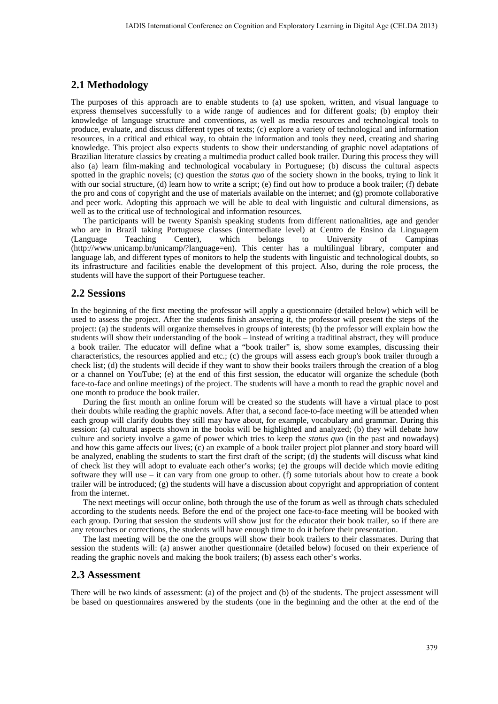### **2.1 Methodology**

The purposes of this approach are to enable students to (a) use spoken, written, and visual language to express themselves successfully to a wide range of audiences and for different goals; (b) employ their knowledge of language structure and conventions, as well as media resources and technological tools to produce, evaluate, and discuss different types of texts; (c) explore a variety of technological and information resources, in a critical and ethical way, to obtain the information and tools they need, creating and sharing knowledge. This project also expects students to show their understanding of graphic novel adaptations of Brazilian literature classics by creating a multimedia product called book trailer. During this process they will also (a) learn film-making and technological vocabulary in Portuguese; (b) discuss the cultural aspects spotted in the graphic novels; (c) question the *status quo* of the society shown in the books, trying to link it with our social structure, (d) learn how to write a script; (e) find out how to produce a book trailer; (f) debate the pro and cons of copyright and the use of materials available on the internet; and (g) promote collaborative and peer work. Adopting this approach we will be able to deal with linguistic and cultural dimensions, as well as to the critical use of technological and information resources.

The participants will be twenty Spanish speaking students from different nationalities, age and gender who are in Brazil taking Portuguese classes (intermediate level) at Centro de Ensino da Linguagem (Language Teaching Center), which belongs to University of Campinas (http://www.unicamp.br/unicamp/?language=en). This center has a multilingual library, computer and language lab, and different types of monitors to help the students with linguistic and technological doubts, so its infrastructure and facilities enable the development of this project. Also, during the role process, the students will have the support of their Portuguese teacher.

#### **2.2 Sessions**

In the beginning of the first meeting the professor will apply a questionnaire (detailed below) which will be used to assess the project. After the students finish answering it, the professor will present the steps of the project: (a) the students will organize themselves in groups of interests; (b) the professor will explain how the students will show their understanding of the book – instead of writing a traditinal abstract, they will produce a book trailer. The educator will define what a "book trailer" is, show some examples, discussing their characteristics, the resources applied and etc.; (c) the groups will assess each group's book trailer through a check list; (d) the students will decide if they want to show their books trailers through the creation of a blog or a channel on YouTube; (e) at the end of this first session, the educator will organize the schedule (both face-to-face and online meetings) of the project. The students will have a month to read the graphic novel and one month to produce the book trailer.

During the first month an online forum will be created so the students will have a virtual place to post their doubts while reading the graphic novels. After that, a second face-to-face meeting will be attended when each group will clarify doubts they still may have about, for example, vocabulary and grammar. During this session: (a) cultural aspects shown in the books will be highlighted and analyzed; (b) they will debate how culture and society involve a game of power which tries to keep the *status quo* (in the past and nowadays) and how this game affects our lives; (c) an example of a book trailer project plot planner and story board will be analyzed, enabling the students to start the first draft of the script; (d) the students will discuss what kind of check list they will adopt to evaluate each other's works; (e) the groups will decide which movie editing software they will use – it can vary from one group to other. (f) some tutorials about how to create a book trailer will be introduced; (g) the students will have a discussion about copyright and appropriation of content from the internet.

The next meetings will occur online, both through the use of the forum as well as through chats scheduled according to the students needs. Before the end of the project one face-to-face meeting will be booked with each group. During that session the students will show just for the educator their book trailer, so if there are any retouches or corrections, the students will have enough time to do it before their presentation.

The last meeting will be the one the groups will show their book trailers to their classmates. During that session the students will: (a) answer another questionnaire (detailed below) focused on their experience of reading the graphic novels and making the book trailers; (b) assess each other's works.

#### **2.3 Assessment**

There will be two kinds of assessment: (a) of the project and (b) of the students. The project assessment will be based on questionnaires answered by the students (one in the beginning and the other at the end of the